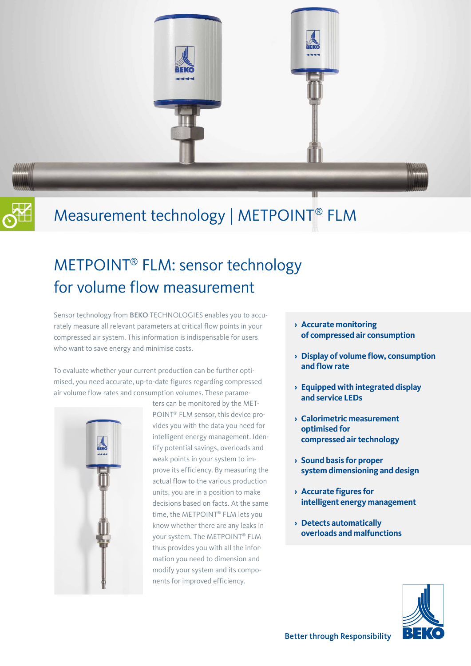



# Measurement technology | METPOINT® FLM

# METPOINT® FLM: sensor technology for volume flow measurement

Sensor technology from BEKO TECHNOLOGIES enables you to accurately measure all relevant parameters at critical flow points in your compressed air system. This information is indispensable for users who want to save energy and minimise costs.

To evaluate whether your current production can be further optimised, you need accurate, up-to-date figures regarding compressed air volume flow rates and consumption volumes. These parame-



ters can be monitored by the MET-POINT® FLM sensor, this device provides you with the data you need for intelligent energy management. Identify potential savings, overloads and weak points in your system to improve its efficiency. By measuring the actual flow to the various production units, you are in a position to make decisions based on facts. At the same time, the METPOINT® FLM lets you know whether there are any leaks in your system. The METPOINT® FLM thus provides you with all the information you need to dimension and modify your system and its components for improved efficiency.

- **› Accurate monitoring of compressed air consumption**
- **› Display of volume flow, consumption and flow rate**
- **› Equipped with integrated display and service LEDs**
- **› Calorimetric measurement optimised for compressed air technology**
- **› Sound basis for proper system dimensioning and design**
- **› Accurate figures for intelligent energy management**
- **› Detects automatically overloads and malfunctions**

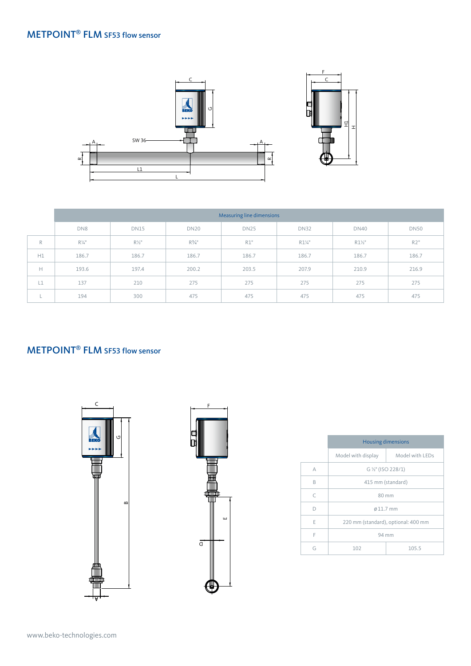### METPOINT® FLM SF53 flow sensor



|              | Measuring line dimensions |                  |             |             |                   |                   |             |
|--------------|---------------------------|------------------|-------------|-------------|-------------------|-------------------|-------------|
|              | DN8                       | <b>DN15</b>      | <b>DN20</b> | <b>DN25</b> | <b>DN32</b>       | <b>DN40</b>       | <b>DN50</b> |
| $\mathbb{R}$ | $R\frac{1}{4}$ "          | $R\frac{1}{2}$ " | $R^{3}/4"$  | R1"         | $R1\frac{1}{4}$ " | $R1\frac{1}{2}$ " | R2"         |
| H1           | 186.7                     | 186.7            | 186.7       | 186.7       | 186.7             | 186.7             | 186.7       |
| Н            | 193.6                     | 197.4            | 200.2       | 203.5       | 207.9             | 210.9             | 216.9       |
| L1           | 137                       | 210              | 275         | 275         | 275               | 275               | 275         |
| n.           | 194                       | 300              | 475         | 475         | 475               | 475               | 475         |

#### METPOINT<sup>®</sup> FLM SF53 flow sensor





|           | <b>Housing dimensions</b>           |                 |  |
|-----------|-------------------------------------|-----------------|--|
|           | Model with display                  | Model with LEDs |  |
| А         | G 1/2" (ISO 228/1)                  |                 |  |
| B         | 415 mm (standard)                   |                 |  |
| $\subset$ | 80 mm                               |                 |  |
| D         | $\emptyset$ 11.7 mm                 |                 |  |
| F         | 220 mm (standard), optional: 400 mm |                 |  |
| F         | 94 mm                               |                 |  |
| G         | 102                                 | 105.5           |  |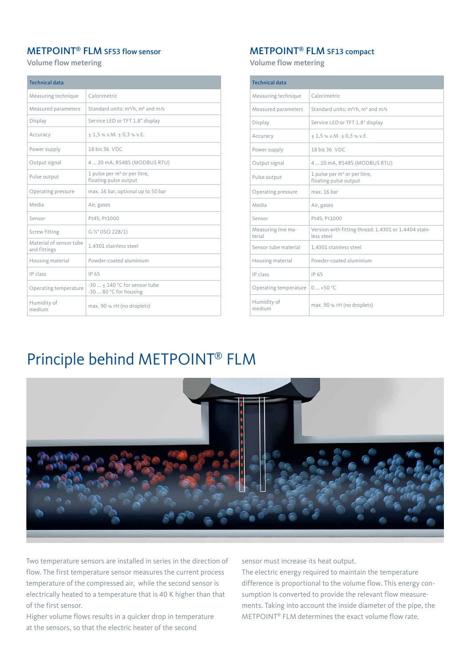#### METPOINT® FLM SF53 flow sensor

Volume flow metering

| <b>Technical data</b>                   |                                                                   |  |  |  |  |
|-----------------------------------------|-------------------------------------------------------------------|--|--|--|--|
| Measuring technique                     | Calorimetric                                                      |  |  |  |  |
| Measured parameters                     | Standard units: m <sup>3</sup> /h, m <sup>3</sup> and m/s         |  |  |  |  |
| Display                                 | Service LED or TFT 1.8" display                                   |  |  |  |  |
| Accuracy                                | $+1.5$ % v.M. $+0.3$ % v.E.                                       |  |  |  |  |
| Power supply                            | 18 bis 36 VDC                                                     |  |  |  |  |
| Output signal                           | 420 mA, RS485 (MODBUS RTU)                                        |  |  |  |  |
| Pulse output                            | 1 pulse per m <sup>3</sup> or per litre,<br>floating pulse output |  |  |  |  |
| Operating pressure                      | max. 16 bar, optional up to 50 bar                                |  |  |  |  |
| Media                                   | Air, gases                                                        |  |  |  |  |
| Sensor                                  | Pt45; Pt1000                                                      |  |  |  |  |
| Screw fitting                           | G 1/2" (ISO 228/1)                                                |  |  |  |  |
| Material of sensor tube<br>and fittings | 1.4301 stainless steel                                            |  |  |  |  |
| Housing material                        | Powder-coated aluminium                                           |  |  |  |  |
| IP class                                | IP 65                                                             |  |  |  |  |
| Operating temperature                   | $-30 + 140$ °C for sensor tube<br>-30  80 °C for housing          |  |  |  |  |
| Humidity of<br>medium                   | max. 90 % rH (no droplets)                                        |  |  |  |  |

#### METPOINT® FLM SF13 compact

Volume flow metering

| <b>Technical data</b>        |                                                                    |  |  |  |  |
|------------------------------|--------------------------------------------------------------------|--|--|--|--|
| Measuring technique          | Calorimetric                                                       |  |  |  |  |
| Measured parameters          | Standard units: m <sup>3</sup> /h, m <sup>3</sup> and m/s          |  |  |  |  |
| Display                      | Service LED or TFT 1.8" display                                    |  |  |  |  |
| Accuracy                     | $\pm$ 1,5 % v.M. $\pm$ 0,3 % v.E.                                  |  |  |  |  |
| Power supply                 | 18 bis 36 VDC                                                      |  |  |  |  |
| Output signal                | 420 mA, RS485 (MODBUS RTU)                                         |  |  |  |  |
| Pulse output                 | 1 pulse per m <sup>3</sup> or per litre,<br>floating pulse output  |  |  |  |  |
| Operating pressure           | max 16 har                                                         |  |  |  |  |
| Media                        | Air, gases                                                         |  |  |  |  |
| Sensor                       | Pt45; Pt1000                                                       |  |  |  |  |
| Measuring line ma-<br>terial | Version with fitting thread: 1.4301 or 1.4404 stain-<br>less steel |  |  |  |  |
| Sensor tube material         | 1.4301 stainless steel                                             |  |  |  |  |
| Housing material             | Powder-coated aluminium                                            |  |  |  |  |
| IP class                     | IP 65                                                              |  |  |  |  |
| Operating temperature        | $0+50 °C$                                                          |  |  |  |  |
| Humidity of<br>medium        | max. 90 % rH (no droplets)                                         |  |  |  |  |

## Principle behind METPOINT® FLM



Two temperature sensors are installed in series in the direction of flow. The first temperature sensor measures the current process temperature of the compressed air, while the second sensor is electrically heated to a temperature that is 40 K higher than that of the first sensor.

Higher volume flows results in a quicker drop in temperature at the sensors, so that the electric heater of the second

sensor must increase its heat output.

The electric energy required to maintain the temperature difference is proportional to the volume flow. This energy consumption is converted to provide the relevant flow measurements. Taking into account the inside diameter of the pipe, the METPOINT® FLM determines the exact volume flow rate.